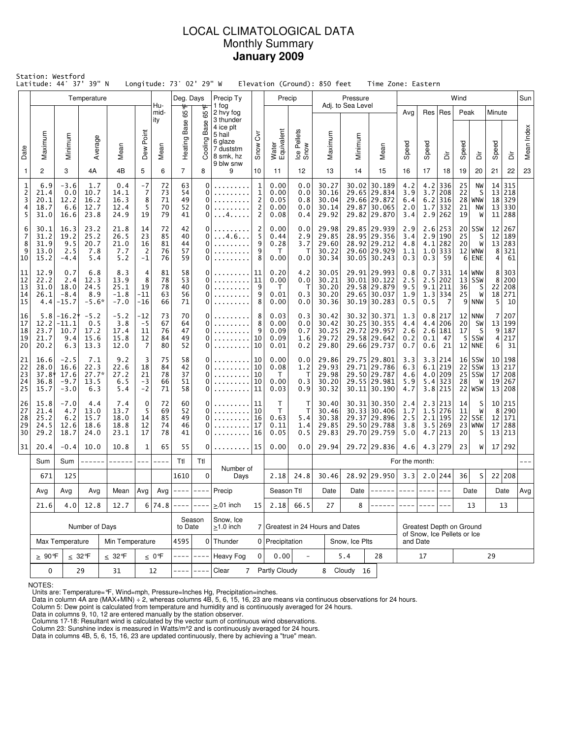# LOCAL CLIMATOLOGICAL DATA Monthly Summary **January 2009**

| Station: Westford<br>Latitude: 44° 37' 39" N<br>Longitude: 73° 02' 29" W<br>Elevation (Ground): 850 feet<br>Time Zone: Eastern<br>Pressure<br>Wind<br>Temperature<br>Deg. Days<br>Precip Ty<br>Precip |                                                          |                                            |                                       |                                         |                                        |                            |                            |                             |                                                                                                 |                                                          |                                    |                                 |                                           |                   |                                                                                |                                                         |                          |                                                                        |                      |                                                   |                            |                                       |            |
|-------------------------------------------------------------------------------------------------------------------------------------------------------------------------------------------------------|----------------------------------------------------------|--------------------------------------------|---------------------------------------|-----------------------------------------|----------------------------------------|----------------------------|----------------------------|-----------------------------|-------------------------------------------------------------------------------------------------|----------------------------------------------------------|------------------------------------|---------------------------------|-------------------------------------------|-------------------|--------------------------------------------------------------------------------|---------------------------------------------------------|--------------------------|------------------------------------------------------------------------|----------------------|---------------------------------------------------|----------------------------|---------------------------------------|------------|
|                                                                                                                                                                                                       |                                                          |                                            |                                       |                                         |                                        | Hu-                        |                            |                             | 1 fog                                                                                           |                                                          |                                    |                                 |                                           | Adj. to Sea Level |                                                                                |                                                         |                          |                                                                        |                      |                                                   |                            |                                       | Sun        |
| Date                                                                                                                                                                                                  | Maximum                                                  | Minimum                                    | Average                               | Mean                                    | Dew Point                              | mid-<br>ity<br>Mean        | 65 °<br>Base<br>Heating F  | ᡃᡛ<br>65<br>Base<br>Cooling | 2 hvy fog<br>3 thunder<br>4 ice plt<br>5 hail<br>6 glaze<br>7 duststm<br>8 smk, hz<br>9 blw snw | δ<br>Snow                                                | Water<br>Equivalent                | Ice Pellets<br>Snow             | Maximum                                   | Minimum           | Mean                                                                           | Avg<br>Speed                                            | Speed                    | Res   Res<br>à                                                         | Peak<br>Speed        | ă                                                 | Minute<br>Speed            | ă                                     | Mean Index |
| $\mathbf{1}$                                                                                                                                                                                          | 2                                                        | 3                                          | 4A                                    | 4B                                      | 5                                      | 6                          | $\overline{7}$             | 8                           | 9                                                                                               | 10                                                       | 11                                 | 12                              | 13                                        | 14                | 15                                                                             | 16                                                      | 17                       | 18                                                                     | 19                   | 20                                                | 21                         | 22                                    | 23         |
| 1<br>$\overline{c}$<br>3<br>4<br>5                                                                                                                                                                    | 6.9<br>21.4<br>20.1<br>18.7<br>31.0                      | $-3.6$<br>0.0<br>12.2<br>6.6<br>16.6       | 1.7<br>10.7<br>16.2<br>12.7<br>23.8   | 0.4<br>14.1<br>16.3<br>12.4<br>24.9     | $-7$<br>$\overline{7}$<br>8<br>5<br>19 | 72<br>73<br>71<br>70<br>79 | 63<br>54<br>49<br>52<br>41 | 0<br>0<br>0<br>0<br>0       | .4.                                                                                             | $\mathbf{1}$<br>$\mathbf{1}$<br>2<br>2<br>$\overline{2}$ |                                    | 0.0<br>0.0<br>0.8<br>0.0<br>0.4 | 30.27<br>30.16<br>30.04<br>30.14<br>29.92 | 29.87             | 30.02 30.189<br>29.65 29.834<br>29.66 29.872<br> 30.065<br>29.82 29.870        | 4.2<br>3.9<br>6.4<br>2.0<br>3.4                         | 4.2<br>3.7<br>6.2<br>1.7 | 336<br>208<br>316<br>332<br>$2.9$ 262                                  | 25<br>22<br>21<br>19 | NW<br>S<br>$28$ WNW<br>NW<br>W                    | 14<br>13<br>18<br>13<br>11 | 315<br>218<br>329<br>330<br>288       |            |
| 6<br>7<br>8<br>9<br>10                                                                                                                                                                                | 30.1<br>31.2<br>31.9<br>13.0<br>15.2                     | 16.3<br>19.2<br>9.5<br>2.5<br>$-4.4$       | 23.2<br>25.2<br>20.7<br>7.8<br>5.4    | 21.8<br>26.5<br>21.0<br>7.7<br>5.2      | 14<br>23<br>16<br>2<br>$-1$            | 72<br>85<br>81<br>76<br>76 | 42<br>40<br>44<br>57<br>59 | 0<br>0<br>0<br>0<br>0       | . 4 . 6                                                                                         | 2<br>0.00<br>5<br>0.44<br>9<br>0.28<br>9<br>8<br>0.00    |                                    | 0.0<br>2.9<br>3.7<br>Т<br>0.0   | 29.98<br>29.85<br>29.60<br>30.22<br>30.34 |                   | 29.85 29.939<br>28.95 29.356<br>28.92 29.212<br>29.60 29.929<br>30.05 30.243   | 2.9<br>3.4<br>4.8<br>1.1<br>0.3                         | 4.1<br>0.3               | $2.6$   253<br>2.9 190<br>282<br>$1.0$ 333<br>59                       | 20 <br>25<br>20<br>6 | SSW<br>S<br>W<br>12 WNW<br>ENE                    | 12 <br>12<br>13<br>8<br>4  | 267<br>189<br>283<br>321<br>61        |            |
| 11<br>12<br>13<br>14<br>15                                                                                                                                                                            | 12.9<br>22.2<br>31.0<br>26.1<br>4.4                      | 0.7<br>2.4<br>18.0<br>$-8.4$<br>$-15.7$    | 6.8<br>12.3<br>24.5<br>8.9<br>$-5.6*$ | 8.3<br>13.9<br>25.1<br>$-1.8$<br>$-7.0$ | 4<br>8<br>19<br>$-11$<br>$-16$         | 81<br>78<br>78<br>63<br>66 | 58<br>53<br>40<br>56<br>71 | 0<br>0<br>0<br>0<br>0       | $\alpha$ , $\alpha$ , $\alpha$ , $\alpha$ , $\alpha$<br>.<br>.                                  | 11<br>0.20<br>11<br>0.00<br>9<br>9<br>0.01<br>8<br>0.00  |                                    | 4.2<br>0.0<br>Т<br>0.3<br>0.0   | 30.05<br>30.21<br>30.20<br>30.20<br>30.36 |                   | 29.91 29.993<br>30.01 30.122<br>29.58 29.879<br>29.65 30.037<br>$30.19$ 30.283 | 0.8<br>2.5<br>9.5<br>1.9<br>0.5                         | 0.5                      | $0.7$   331<br>$2.5$ 202<br>$9.1$   211<br>$1.3$ 334<br>$\overline{7}$ | 36<br>25<br>9        | $14$ WNW<br>$13$ SSW<br>S<br>W<br><b>NNW</b>      | 8<br>8<br>22<br>18<br>5    | 303<br>200<br>208<br>271<br>10        |            |
| 16<br>17<br>18<br>19<br>20                                                                                                                                                                            | 5.8<br>12.2<br>23.7<br>21.7<br>20.2                      | $-16.2*$<br>-11.1<br>10.7<br>9.4<br>6.3    | $-5.2$<br>0.5<br>17.2<br>15.6<br>13.3 | $-5.2$<br>3.8<br>17.4<br>15.8<br>12.0   | -12<br>-5<br>11<br>12<br>7             | 73<br>67<br>76<br>84<br>80 | 70<br>64<br>47<br>49<br>52 | 0<br>0<br>0<br>0<br>0       | .<br>.                                                                                          | 8<br>8<br>9<br>10<br>10                                  |                                    | 0.3<br>0.0<br>0.7<br>1.6<br>0.2 | 30.42<br>30.42<br>30.25<br>29.72<br>29.80 |                   | 30.32 30.371<br>30.25 30.355<br>29.72 29.957<br>29.58 29.642<br>29.66 29.737   | 1.3<br>4.4<br>2.6<br>0.2<br>0.7                         | 4.4<br>0.1<br>0.6        | 0.8 217<br>206<br>2.6 181<br>47<br>21                                  | 12<br>20<br>17<br>-5 | NNW<br>SW<br>S<br>SSW<br>$12$ NNE                 | 7<br>13<br>9<br>4<br>6     | 207<br>199<br>187<br>217<br>31        |            |
| 21<br>22<br>23<br>24<br>25                                                                                                                                                                            | 16.6<br>28.0<br>37.8*<br>36.8<br>15.7                    | $-2.5$<br>16.6<br>17.6<br>$-9.7$<br>$-3.0$ | 7.1<br>22.3<br>$27.7*$<br>13.5<br>6.3 | 9.2<br>22.6<br>27.2<br>6.5<br>5.4       | 3<br>18<br>21<br>-3<br>$-2$            | 75<br>84<br>78<br>66<br>71 | 58<br>42<br>37<br>51<br>58 | 0<br>0<br>0<br>0<br>0       | .<br>.                                                                                          | 10<br>10<br>10<br>10<br>11                               | 0.00<br>0.08<br>T.<br>0.00<br>0.03 | 0.0<br>1.2<br>Т<br>0.3<br>0.9   | 29.86<br>29.93<br>29.98<br>30.20<br>30.32 |                   | 29.75 29.801<br>29.71 29.786<br>29.50 29.787<br>29.55 29.981<br>30.11 30.190   | 3.3<br>6.3<br>4.6<br>5.9<br>4.7                         |                          | 3.3 214<br>$6.1$   219<br>4.0 209<br>$5.4$ 323<br>$3.8$   215          | 28                   | $16$ SSW<br>$22$ SSW<br>$25$ SSW<br>W<br>22   WSW | 13 <br>17<br>19<br>13      | 10 198<br>217<br>208<br>267<br>208    |            |
| 26<br>27<br>28<br>29<br>30                                                                                                                                                                            | 15.8<br>21.4<br>25.2<br>24.5<br>29.2                     | $-7.0$<br>4.7<br>6.2<br>12.6<br>18.7       | 4.4<br>13.0<br>15.7<br>18.6<br>24.0   | 7.4<br>13.7<br>18.0<br>18.8<br>23.1     | $\mathbf 0$<br>5<br>14<br>12<br>17     | 72<br>69<br>85<br>74<br>78 | 60<br>52<br>49<br>46<br>41 | 0<br>0<br>0<br>0<br>0       |                                                                                                 | 11<br>10<br>16<br>17<br>16                               | т<br>Τ<br>0.63<br>0.11<br>0.05     | т<br>т<br>5.4<br>1.4<br>0.5     | 30.40<br>30.46<br>30.38<br>29.85<br>29.83 |                   | $30.31$ 30.350<br>30.33 30.406<br>29.37 29.896<br>29.50 29.788<br>29.70 29.759 | 2.4<br>1.7<br>2.5<br>3.8<br>5.0                         |                          | 2.3 213<br>$1.5$   276<br>$2.1$   195<br>$3.5$   269<br>$4.7$   213    | 14<br>11<br>20       | S<br>W<br>$22$ SSE<br>23 WNW<br>S                 | 8<br>12<br>17              | 10 215<br>290<br>171<br>288<br>13 213 |            |
| 31                                                                                                                                                                                                    | 20.4                                                     | $-0.4$                                     | 10.0                                  | 10.8                                    | 1                                      | 65                         | 55                         | 0                           | .   15                                                                                          |                                                          | 0.00                               | 0.0                             | 29.94                                     |                   | 29.72 29.836                                                                   | 4.6                                                     |                          | 4.3 279                                                                | 23                   | W                                                 |                            | 17 292                                |            |
|                                                                                                                                                                                                       | Sum                                                      | Sum                                        | ------                                | ------                                  | $---$                                  | $- - - -$                  | Ttl                        | Ttl                         | Number of                                                                                       |                                                          |                                    |                                 |                                           |                   |                                                                                | For the month:                                          |                          |                                                                        |                      |                                                   |                            |                                       |            |
|                                                                                                                                                                                                       |                                                          | 125<br>0<br>671<br>1610<br>Days            |                                       |                                         | 2.18                                   | 24.8                       | 30.46                      |                             | 28.92 29.950<br>Date $ $ ------ $ $ ---- $ $ ----                                               | 3.3                                                      |                                    | $2.0$ 244                       | 36                                        | S                 |                                                                                | 22 208                                                  |                          |                                                                        |                      |                                                   |                            |                                       |            |
|                                                                                                                                                                                                       | Avg<br>Avg<br>Avg<br>Mean<br>21.6<br>4.0<br>12.8<br>12.7 |                                            |                                       |                                         | Avg                                    | 6 74.8                     | Avg $\vert$ ----           | $- - - - -$<br>$- - - -$    | Precip<br>$> 01$ inch                                                                           | 15                                                       | Season Ttl<br>2.18                 | 66.5                            | Date<br>27                                | 8                 |                                                                                |                                                         |                          |                                                                        |                      | Date                                              |                            | Date<br>13                            | Avg        |
|                                                                                                                                                                                                       |                                                          |                                            |                                       |                                         |                                        |                            |                            | Season                      | Snow, Ice                                                                                       |                                                          |                                    |                                 |                                           |                   |                                                                                |                                                         |                          |                                                                        | 13                   |                                                   |                            |                                       |            |
|                                                                                                                                                                                                       | Number of Days                                           |                                            |                                       |                                         |                                        |                            | to Date                    |                             | $\geq$ 1.0 inch                                                                                 |                                                          |                                    |                                 | 7 Greatest in 24 Hours and Dates          |                   |                                                                                | Greatest Depth on Ground<br>of Snow, Ice Pellets or Ice |                          |                                                                        |                      |                                                   |                            |                                       |            |
|                                                                                                                                                                                                       | Max Temperature<br>Min Temperature                       |                                            |                                       |                                         |                                        |                            | 4595                       |                             | $0$ Thunder                                                                                     |                                                          | 0 Precipitation                    |                                 |                                           | Snow, Ice Plts    |                                                                                | and Date                                                |                          |                                                                        |                      |                                                   |                            |                                       |            |
|                                                                                                                                                                                                       | $\geq 90$ °F<br>$\leq 32$ °F<br>$\leq 32$ °F             |                                            |                                       |                                         |                                        | $\leq 0$ °F                |                            |                             | Heavy Fog                                                                                       | $\Omega$                                                 | 0.00                               | $\overline{\phantom{a}}$        |                                           | 5.4               | 28                                                                             |                                                         | 17                       |                                                                        | 29                   |                                                   |                            |                                       |            |
|                                                                                                                                                                                                       | 0<br>29<br>31<br>12                                      |                                            |                                       |                                         |                                        |                            |                            |                             | Clear<br>$\overline{7}$                                                                         |                                                          | Partly Cloudy                      |                                 |                                           | 8 Cloudy 16       |                                                                                |                                                         |                          |                                                                        |                      |                                                   |                            |                                       |            |

NOTES:

Units are: Temperature=°F, Wind=mph, Pressure=Inches Hg, Precipitation=inches. Data in column 4A are (MAX+MIN) ÷ 2, whereas columns 4B, 5, 6, 15, 16, 23 are means via continuous observations for 24 hours.

Column 5: Dew point is calculated from temperature and humidity and is continuously averaged for 24 hours. Data in columns 9, 10, 12 are entered manually by the station observer.

Columns 17-18: Resultant wind is calculated by the vector sum of continuous wind observations.<br>Column 23: Sunshine index is measured in Watts/m^2 and is continuously averaged for 24 hours.<br>Data in columns 4B, 5, 6, 15, 16,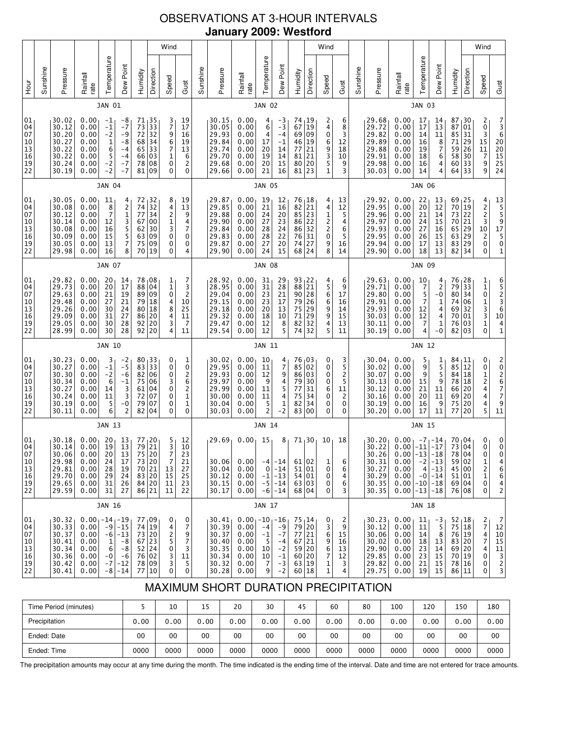# OBSERVATIONS AT 3-HOUR INTERVALS **January 2009: Westford**

|                                              | Wind                                                                                                                                                                                                                                                                                                                                                                                                                                                                                                                    |                                                                      |                                                                          |                                                         |                                                                |                                                                                                                                              |                                                                             |                                                                         |                                                                                           |                                                                      |                                                                      |                                                                                                    |                                                      |                                                                             |                                                                                                            | Wind                                 |                                             |                                                       |                                                                      |                                                                      |                                                              |                                                                                               |                                                                                     |                                                                             | Wind                                                                        |                                                                                                              |                                                                                               |
|----------------------------------------------|-------------------------------------------------------------------------------------------------------------------------------------------------------------------------------------------------------------------------------------------------------------------------------------------------------------------------------------------------------------------------------------------------------------------------------------------------------------------------------------------------------------------------|----------------------------------------------------------------------|--------------------------------------------------------------------------|---------------------------------------------------------|----------------------------------------------------------------|----------------------------------------------------------------------------------------------------------------------------------------------|-----------------------------------------------------------------------------|-------------------------------------------------------------------------|-------------------------------------------------------------------------------------------|----------------------------------------------------------------------|----------------------------------------------------------------------|----------------------------------------------------------------------------------------------------|------------------------------------------------------|-----------------------------------------------------------------------------|------------------------------------------------------------------------------------------------------------|--------------------------------------|---------------------------------------------|-------------------------------------------------------|----------------------------------------------------------------------|----------------------------------------------------------------------|--------------------------------------------------------------|-----------------------------------------------------------------------------------------------|-------------------------------------------------------------------------------------|-----------------------------------------------------------------------------|-----------------------------------------------------------------------------|--------------------------------------------------------------------------------------------------------------|-----------------------------------------------------------------------------------------------|
| Hour                                         | Sunshine                                                                                                                                                                                                                                                                                                                                                                                                                                                                                                                | Pressure                                                             | Rainfall<br>rate                                                         | Temperature                                             | Dew Point                                                      | Humidity                                                                                                                                     | Direction                                                                   | Speed                                                                   | Gust                                                                                      | Sunshine                                                             | Pressure                                                             | Rainfall<br>rate                                                                                   | Temperature                                          | Dew Point                                                                   | Humidity                                                                                                   | Direction                            | Speed                                       | Gust                                                  | Sunshine                                                             | Pressure                                                             | Rainfall<br>rate                                             | Temperature                                                                                   | Dew Point                                                                           | Humidity                                                                    | Direction                                                                   | Speed                                                                                                        | Gust                                                                                          |
|                                              |                                                                                                                                                                                                                                                                                                                                                                                                                                                                                                                         |                                                                      |                                                                          | JAN 01                                                  |                                                                |                                                                                                                                              |                                                                             |                                                                         |                                                                                           |                                                                      |                                                                      |                                                                                                    | <b>JAN 02</b>                                        |                                                                             |                                                                                                            |                                      |                                             |                                                       |                                                                      |                                                                      |                                                              | <b>JAN 03</b>                                                                                 |                                                                                     |                                                                             |                                                                             |                                                                                                              |                                                                                               |
| 01<br>04<br>07<br>10<br>13<br>16<br>19<br>22 | 30.02<br>0.00<br>$71_135$<br>3<br>19<br>$-1$<br>-8<br>73<br>$\frac{33}{32}$<br>7<br>30.12<br>0.00<br>$-1$<br>17<br>$-7$<br>$-2$<br>72<br>9<br>6<br>7<br>30.20<br>0.00<br>$-9$<br>16<br>$\begin{array}{c c} 68 & 34 \\ 65 & 33 \end{array}$<br>19<br>30.27<br>0.00<br>1<br>-8<br>6<br>30.22<br>0.00<br>13<br>$-4$<br>30.22<br>66 03<br>$\mathbf 1$<br>0.00<br>5<br>6<br>$-4$<br>$\pmb{0}$<br>$\overline{\mathbf{c}}$<br>$-2$<br>30.24<br>78<br>08<br>0.00<br>$-7$<br>$-2$<br>81<br>09<br>0<br>0<br>30.19<br>$-7$<br>0.00 |                                                                      |                                                                          |                                                         |                                                                |                                                                                                                                              |                                                                             |                                                                         |                                                                                           | 30.15<br>30.05<br>29.93<br>29.84<br>29.74<br>29.70<br>29.68<br>29.66 | 0.00<br>0.00<br>0.00<br>0.00<br>0.00<br>0.00<br>0.00<br>0.00         | 4<br>6<br>4<br>17<br>20<br>19<br>20<br>21                                                          | $-3$<br>$-3$<br>$-4$<br>$-1$<br>14<br>14<br>15<br>16 | 74, 19<br>67<br>69 09<br>46 19<br>77<br>81<br>80 20<br>$81$   23            | $\vert$ 19<br>21<br>21                                                                                     | 2<br>4<br>0<br>6<br>9<br>3<br>5<br>1 | 6<br>8<br>3<br>12<br>18<br>10<br>9<br>3     |                                                       | 29.68<br>29.72<br>29.82<br>29.89<br>29.88<br>29.91<br>29.98<br>30.03 | 0.00<br>0.00<br>0.00<br>0.00<br>0.00<br>0.00<br>0.00<br>0.00         | 17<br>17<br>14<br>16<br>19<br>18<br>16<br>14                 | 14<br>13<br>11<br>$\begin{array}{c} 8 \\ 7 \end{array}$<br>6<br>4<br>$\overline{4}$           | 87<br>87<br>85<br>71<br>59<br>58<br>60<br>64                                        | 30<br>01<br>31<br>29<br>$\overline{26}$<br>30<br>33<br>33                   | 2<br>0<br>3<br>$\begin{array}{c}\n 15 \\  11 \\  7\n \end{array}$<br>9<br>9 | 7<br>3<br>6<br>20<br>20<br>15<br>25<br>24                                                                    |                                                                                               |
|                                              |                                                                                                                                                                                                                                                                                                                                                                                                                                                                                                                         |                                                                      |                                                                          | <b>JAN 04</b>                                           |                                                                |                                                                                                                                              |                                                                             |                                                                         |                                                                                           |                                                                      |                                                                      |                                                                                                    | <b>JAN 05</b>                                        |                                                                             |                                                                                                            |                                      |                                             |                                                       |                                                                      |                                                                      |                                                              | <b>JAN 06</b>                                                                                 |                                                                                     |                                                                             |                                                                             |                                                                                                              |                                                                                               |
| 01<br>04<br>07<br>10<br>13<br>16<br>19<br>22 |                                                                                                                                                                                                                                                                                                                                                                                                                                                                                                                         | 30.05<br>30.08<br>30.12<br>30.14<br>30.08<br>30.09<br>30.05<br>29.98 | 0.00<br>0.00<br>0.00<br>0.00<br>0.00<br>0.00<br>0.00<br>0.00             | 11<br>8<br>$\overline{7}$<br>12<br>16<br>15<br>13<br>16 | 4<br>$\frac{2}{1}$<br>3<br>5<br>5<br>7<br>8                    | 72<br>74<br>77<br>67<br>62<br>63<br>75<br>70                                                                                                 | $\begin{array}{r} 32 \\ 32 \end{array}$<br>34<br>00<br>30<br>09<br>09<br>19 | 8<br>4<br>$\frac{2}{1}$<br>3<br>$\pmb{0}$<br>0<br>0                     | 19<br>13<br>9<br>4<br>7<br>0<br>0<br>4                                                    |                                                                      | 29.87<br>29.85<br>29.88<br>29.90<br>29.84<br>29.83<br>29.87<br>29.90 | 0.00<br>0.00<br>0.00<br>0.00<br>0.00<br>0.00<br>0.00<br>0.00                                       | 19<br>21<br>24<br>27<br>28<br>28<br>27<br>24         | $\begin{array}{c} 12 \\ 16 \end{array}$<br>20<br>23<br>24<br>22<br>20<br>15 | $\begin{bmatrix} 76 \\ 82 \\ 21 \\ 85 \\ 23 \\ 96 \end{bmatrix}$<br>86 22<br>86 32<br>76 31<br>74<br>68 24 | 27                                   | 4<br>4<br>1<br>$\frac{1}{2}$<br>0<br>9<br>8 | 13<br>12<br>5<br>4<br>6<br>5<br>16<br>14              |                                                                      | 29.92<br>29.95<br>29.96<br>29.97<br>29.93<br>29.95<br>29.94<br>29.90 | 0.00<br>0.00<br>0.00<br>0.00<br>0.00<br>0.00<br>0.00<br>0.00 | 22<br>20<br>21<br>24<br>27<br>26<br>17<br>18                                                  | 13<br>$\overline{12}$<br>14<br>15<br>16<br>15<br>13<br>13                           | 69 <sub>1</sub> 25<br>$70\,$<br>73<br>70<br>65<br>63 29<br>83<br>82         | 19<br>22<br>21<br>29<br> 29<br>34                                           | $\begin{bmatrix} 4 \\ 2 \\ 2 \\ 3 \\ 3 \\ 10 \end{bmatrix}$<br>$\mathsf{2}\!\!$<br>$\pmb{0}$<br>$\mathbf{0}$ | 13<br>5<br>5<br>9<br>17<br>5<br>0<br>$\mathbf 1$                                              |
|                                              | <b>JAN 07</b>                                                                                                                                                                                                                                                                                                                                                                                                                                                                                                           |                                                                      |                                                                          |                                                         |                                                                |                                                                                                                                              |                                                                             |                                                                         |                                                                                           |                                                                      |                                                                      | <b>JAN 08</b>                                                                                      |                                                      |                                                                             |                                                                                                            |                                      |                                             |                                                       |                                                                      |                                                                      | <b>JAN 09</b>                                                |                                                                                               |                                                                                     |                                                                             |                                                                             |                                                                                                              |                                                                                               |
| 01<br>04<br>07<br>10<br>13<br>16<br>19<br>22 |                                                                                                                                                                                                                                                                                                                                                                                                                                                                                                                         | 29.82<br>29.73<br>29.63<br>29.48<br>29.26<br>29.09<br>29.05<br>28.99 | 0.00<br>0.00<br>0.00<br>0.00<br>0.00<br>0.00<br>0.00<br>0.00             | 20<br>20<br>21<br>27<br>30<br>31<br>30<br>30            | 14<br>17<br>19<br>21<br>24<br>27<br>28<br>28                   | 78 08<br>88<br>89<br>79<br>$80\,$<br>86 20<br>92<br>92 20                                                                                    | 04<br>09<br>18<br>18<br>20                                                  | 1<br>$\mathbf 1$<br>0<br>4<br>8<br>4<br>3<br>4                          | 7<br>$\frac{3}{2}$<br>10<br>25<br>11<br>7<br>11                                           |                                                                      | 28.92<br>28.95<br>29.04<br>29.15<br>29.18<br>29.32<br>29.47<br>29.54 | 0.00<br>0.00<br>0.00<br>0.00<br>0.00<br>0.00<br>0.00<br>0.00                                       | 31<br>31<br>23<br>23<br>20<br>18<br>12<br>12         | 29<br>28<br>21<br>17<br>13<br>10<br>8<br>5                                  | 93 22<br>88<br>90 28<br>79 26<br>75 29<br>71<br>82<br>74                                                   | 21<br> 29<br>32<br>32                | 4<br>5<br>6<br>6<br>9<br>9<br>4<br>5        | 6<br>9<br>17<br>16<br>14<br>15<br>13<br>11            |                                                                      | 29.63<br>29.71<br>29.80<br>29.91<br>29.93<br>30.03<br>30.11<br>30.19 | 0.00<br>0.00<br>0.00<br>0.00<br>0.00<br>0.00<br>0.00<br>0.00 | 10<br>$\overline{7}$<br>5<br>$\overline{7}$<br>12<br>12<br>$\overline{7}$<br>$\overline{4}$   | 4<br>$\overline{c}$<br>$-0$<br>$\mathbf 1$<br>$\frac{4}{4}$<br>$\mathbf{1}$<br>$-0$ | 76 <sub>1</sub> 28<br>79<br>80<br>74<br>69<br>70<br>76<br>82                | 33<br>34<br>06<br>32<br>01<br>03<br>03                                      | $\begin{bmatrix} 1 \ 1 \ 0 \end{bmatrix}$<br>1 3 3 1<br>0                                                    | 65236<br>10<br>$\frac{4}{1}$                                                                  |
|                                              |                                                                                                                                                                                                                                                                                                                                                                                                                                                                                                                         |                                                                      |                                                                          | JAN 10                                                  |                                                                |                                                                                                                                              |                                                                             |                                                                         |                                                                                           |                                                                      |                                                                      |                                                                                                    | JAN 11                                               |                                                                             |                                                                                                            |                                      |                                             |                                                       |                                                                      |                                                                      |                                                              | <b>JAN 12</b>                                                                                 |                                                                                     |                                                                             |                                                                             |                                                                                                              |                                                                                               |
| 01<br>04<br>07<br>10<br>13<br>16<br>19<br>22 |                                                                                                                                                                                                                                                                                                                                                                                                                                                                                                                         | 30.23<br>30.27<br>30.30<br>30.34<br>30.27<br>30.24<br>30.19<br>30.11 | 0.00<br>0.00<br>0.00<br>0.00<br>0.00<br>0.00<br>0.00<br>0.00             | 3<br>$-1$<br>$-2$<br>6<br>14<br>11<br>5<br>6            | $-2$<br>$-5$<br>-6<br>$-1$<br>3<br>3<br>$-0$<br>$\overline{2}$ | 80, 33<br>83<br>82<br>75<br>61<br>72<br>79<br>82                                                                                             | 33<br>06<br>06<br>04<br>07<br>07<br>04                                      | 0<br>0<br>0<br>3<br>$\pmb{0}$<br>$\mathbf 0$<br>0<br>0                  | 1<br>0<br>$\overline{\mathbf{c}}$<br>6<br>$\begin{array}{c} 2 \\ 1 \\ 1 \end{array}$<br>0 |                                                                      | 30.02<br>29.95<br>29.93<br>29.97<br>29.99<br>30.00<br>30.04<br>30.03 | 0.00<br>0.00<br>0.00<br>0.00<br>0.00<br>0.00<br>0.00<br>0.00                                       | 10<br>11<br>12<br>9<br>11<br>11<br>5<br>2            | 479454<br>$\overline{1}$<br>$-2$                                            | $76_{1}03$<br>85 02<br>86 03<br>79<br>77<br>75<br>82<br>83 00                                              | 30<br>31<br>34<br>34                 | 0<br>0<br>0<br>0<br>6<br>0<br>0<br>0        | 3<br>5<br>2<br>5<br>11<br>$\overline{c}$<br>0<br>0    |                                                                      | 30.04<br>30.02<br>30.07<br>30.13<br>30.12<br>30.16<br>30.19<br>30.20 | 0.00<br>0.00<br>0.00<br>0.00<br>0.00<br>0.00<br>0.00<br>0.00 | 5<br>9<br>9<br>15<br>21<br>20<br>16<br>17                                                     | 1<br>$\begin{array}{c} 5 \\ 5 \\ 9 \end{array}$<br>11<br>11<br>9<br>11              | 84, 11<br>85<br>84<br>78<br>66<br>69<br>75<br>77                            | 12<br>18<br> 18<br>20<br>20<br>20<br>20                                     | 0<br>0<br>$\begin{array}{c} 1 \\ 2 \\ 4 \end{array}$<br>4<br>4<br>5                                          | 2026779<br>11                                                                                 |
|                                              |                                                                                                                                                                                                                                                                                                                                                                                                                                                                                                                         |                                                                      |                                                                          | JAN 13                                                  |                                                                |                                                                                                                                              |                                                                             |                                                                         |                                                                                           |                                                                      |                                                                      |                                                                                                    | JAN 14                                               |                                                                             |                                                                                                            |                                      |                                             |                                                       |                                                                      |                                                                      |                                                              | <b>JAN 15</b>                                                                                 |                                                                                     |                                                                             |                                                                             |                                                                                                              |                                                                                               |
| 01<br>04<br>07<br>10<br>13<br>16<br>19<br>22 |                                                                                                                                                                                                                                                                                                                                                                                                                                                                                                                         | 30.18<br>30.14<br>30.06<br>29.98<br>29.81<br>29.70<br>29.65<br>29.59 | 0.00<br>0.00<br>0.00<br>0.00<br>0.00<br>0.00<br>0.00<br>0.00             | 20<br>19<br>20<br>24<br>28<br>29<br>31<br>31            | 13<br>13<br>13<br>17<br>19<br>24<br>26<br>27                   | $\begin{array}{c c} 77 & 20 \\ 79 & 21 \end{array}$<br>75 20<br>$\begin{array}{ c c }\n 70 & 21 \\  83 & 20\n \end{array}$<br>84 20<br>86 21 | 73 20                                                                       | $\begin{array}{c} 5 \\ 3 \\ 7 \end{array}$<br>7<br>13<br>15<br>11<br>11 | 12<br>10<br>23<br>21<br>27<br>25<br>23<br>22                                              |                                                                      | 29.69<br>30.06<br>30.04<br>30.12<br>30.15<br>30.17                   | 0.00<br>0.00<br>0.00<br>0.00<br>0.00<br>0.00                                                       | 15<br>-4<br>0<br>$-1$<br>-6                          | 8<br>$-14$<br>$-14$<br>$-13$<br>$-5$ $-14$<br>$-14$                         | 71,30<br>61 02<br>51 01<br>54 01<br>63 03<br>68 04                                                         |                                      | 10<br>1<br>0<br>0<br>0<br>0                 | 18<br>6<br>6<br>4<br>6<br>3                           |                                                                      | 30.20<br>30.22<br>30.26<br>30.31<br>30.27<br>30.29<br>30.35<br>30.35 | 0.00 <sub>1</sub><br>$0.00$ -13 -18<br>0.00<br>0.00<br>0.00  | $-7 - 14$<br>$0.00$ -11 -17<br>$-2$<br>4 <br>$-0$   $-14$<br>$0.00$ -10 -18<br>$0.00$ -13 -18 | $-13$<br>$-13$                                                                      | $70_{1}04$<br>73 04<br>78 04<br>59 02<br>45 00<br>51 01<br>69 04<br>76   08 |                                                                             | 0<br>0<br>0<br>$\mathbf 1$<br>$\overline{c}$<br>$\mathbf 1$<br>0<br>0                                        | $\begin{smallmatrix}0\0\0\end{smallmatrix}$<br>$\Omega$<br>4<br>6<br>6<br>4<br>$\overline{c}$ |
|                                              |                                                                                                                                                                                                                                                                                                                                                                                                                                                                                                                         |                                                                      |                                                                          | JAN 16                                                  |                                                                |                                                                                                                                              |                                                                             |                                                                         |                                                                                           |                                                                      |                                                                      |                                                                                                    | JAN 17                                               |                                                                             |                                                                                                            |                                      |                                             |                                                       |                                                                      |                                                                      |                                                              | JAN 18                                                                                        |                                                                                     |                                                                             |                                                                             |                                                                                                              |                                                                                               |
| 01<br>04<br>07<br>10<br>13<br>16<br>19<br>22 |                                                                                                                                                                                                                                                                                                                                                                                                                                                                                                                         | 30.32<br>30.33<br>30.37<br>30.41<br>30.34<br>30.36<br>30.42<br>30.41 | $0.00 - 14 - 19$<br>0.00<br>0.00<br>0.00<br>0.00<br>0.00<br>0.00<br>0.00 | $-9$<br>-6<br>1<br>6<br>$-0$<br>$-7$<br>$-8$            | -15<br>$-13$<br>-8<br>-8<br>-6<br>$-12$<br>$-14$               | 77 09<br>74 19<br>73 20<br>$67$   23<br>52 24<br>76 02<br>78 09<br>77 10                                                                     |                                                                             | 0<br>4<br>$\overline{c}$<br>5<br>0<br>3<br>3<br>0                       | 0<br>7<br>9<br>7<br>3<br>11<br>5<br>0                                                     |                                                                      | 30.41<br>30.39<br>30.37<br>30.40<br>30.35<br>30.34<br>30.32<br>30.28 | $0.00$ <sub>1</sub> - 10 <sub>1</sub> - 16<br>0.00<br>0.00<br>0.00<br>0.00<br>0.00<br>0.00<br>0.00 | $-4$<br>$-1$<br>5<br>10<br>10<br>7<br>9              | $-9$<br>$-7$<br>$-4$<br>$-2$<br>$^{\rm -1}$<br>$-3$<br>$-2$                 | $75 \, 14$<br>79 20<br>77 21<br>67 21<br>59 20<br>60 20<br>63 19<br>60 18                                  |                                      | 0<br>3<br>6<br>9<br>6<br>7<br>1<br>1        | $\overline{c}$<br>9<br>15<br>16<br>13<br>12<br>3<br>4 |                                                                      | 30.23<br>30.12<br>30.06<br>30.02<br>29.90<br>29.85<br>29.82<br>29.75 | 0.00<br>0.00<br>0.00<br>0.00<br>0.00<br>0.00<br>0.00<br>0.00 | 11 <sub>1</sub><br>11<br>14<br>18<br>23<br>23<br>21<br>19                                     | $-31$<br>5<br>8<br>13<br>14<br>15<br>15<br>15                                       | $52 \mid 18$<br>75 18<br>76 19<br>83 20<br>69 20<br>70 19<br>78 16<br>86 11 |                                                                             | $\frac{2}{7}$<br>4<br>7<br>4<br>0<br>0<br>0                                                                  | 7<br>12<br>10<br>15<br>11<br>$\begin{array}{c} 3 \\ 2 \\ 3 \end{array}$                       |

# MAXIMUM SHORT DURATION PRECIPITATION

| Time Period (minutes) |      | 10   | 15   | 20   | 30   | 45   | 60   | 80   | 100  | 120  | 150  | 180  |
|-----------------------|------|------|------|------|------|------|------|------|------|------|------|------|
| Precipitation         | 0.00 | 0.00 | 0.00 | 0.00 | 0.00 | 0.00 | 0.00 | 0.00 | 0.00 | 0.00 | 0.00 | 0.00 |
| Ended: Date           | 00   | 00   | 00   | 00   | 00   | 00   | 00   | 00   | 00   | 00   | 00   | 00   |
| Ended: Time           | 0000 | 0000 | 0000 | 0000 | 0000 | 0000 | 0000 | 0000 | 0000 | 0000 | 0000 | 0000 |

The precipitation amounts may occur at any time during the month. The time indicated is the ending time of the interval. Date and time are not entered for trace amounts.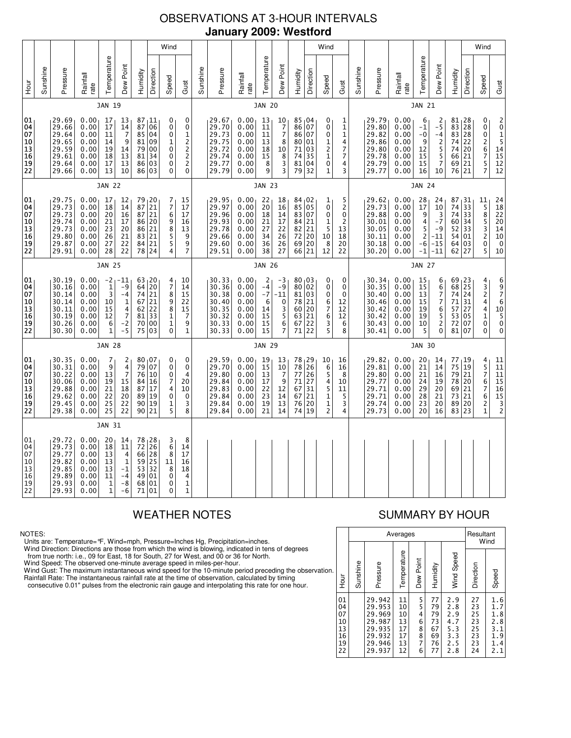# OBSERVATIONS AT 3-HOUR INTERVALS **January 2009: Westford**

|                                              | Wind          |                                                                      |                                                              |                                                                  |                                                                     |                                        |                                                                                      |                                                                                                                                                            |               |                                                                      |                                                              |                                                                          |                                                         |                                                        |                                                                       | Wind                                                                 |                                                          |               |                                                                      |                                                              |                                                                    |                                                                        |                                                    |                                                                         | Wind                                                                                  |                                                                                                              |
|----------------------------------------------|---------------|----------------------------------------------------------------------|--------------------------------------------------------------|------------------------------------------------------------------|---------------------------------------------------------------------|----------------------------------------|--------------------------------------------------------------------------------------|------------------------------------------------------------------------------------------------------------------------------------------------------------|---------------|----------------------------------------------------------------------|--------------------------------------------------------------|--------------------------------------------------------------------------|---------------------------------------------------------|--------------------------------------------------------|-----------------------------------------------------------------------|----------------------------------------------------------------------|----------------------------------------------------------|---------------|----------------------------------------------------------------------|--------------------------------------------------------------|--------------------------------------------------------------------|------------------------------------------------------------------------|----------------------------------------------------|-------------------------------------------------------------------------|---------------------------------------------------------------------------------------|--------------------------------------------------------------------------------------------------------------|
| Hour                                         | Sunshine      | Pressure                                                             | Rainfall<br>rate                                             | Temperature                                                      | Dew Point                                                           | Humidity                               | Direction                                                                            | Speed<br>Gust                                                                                                                                              | Sunshine      | Pressure                                                             | Rainfall<br>rate                                             | Temperature                                                              | Dew Point                                               | Humidity                                               | Direction                                                             | Speed                                                                | Gust                                                     | Sunshine      | Pressure                                                             | Rainfall<br>rate                                             | Temperature                                                        | Dew Point                                                              | Humidity                                           | Direction                                                               | Speed                                                                                 | Gust                                                                                                         |
|                                              |               |                                                                      |                                                              | JAN 19                                                           |                                                                     |                                        |                                                                                      |                                                                                                                                                            |               |                                                                      |                                                              | <b>JAN 20</b>                                                            |                                                         |                                                        |                                                                       |                                                                      |                                                          | <b>JAN 21</b> |                                                                      |                                                              |                                                                    |                                                                        |                                                    |                                                                         |                                                                                       |                                                                                                              |
| 01<br>04<br>07<br>10<br>13<br>16<br>19<br>22 |               | 29.69<br>29.66<br>29.64<br>29.65<br>29.59<br>29.61<br>29.64<br>29.66 | 0.00<br>0.00<br>0.00<br>0.00<br>0.00<br>0.00<br>0.00<br>0.00 | 17<br>17<br>11<br>14<br>19<br>18<br>17<br>13                     | 13<br>14<br>$\overline{7}$<br>9<br>14<br>13<br>13<br>10             | 87<br>85<br>81<br>79<br>81<br>86       | 87, 11<br>06<br>04<br>09<br>00<br>34<br>03<br>86 03                                  | 0<br>0<br>$\pmb{0}$<br>0<br>$\mathbf 1$<br>0<br>$\overline{\mathbf{c}}$<br>1<br>$\frac{2}{2}$<br>0<br>0<br>$\overline{\mathbf{c}}$<br>0<br>0<br>0          |               | 29.67<br>29.70<br>29.73<br>29.75<br>29.72<br>29.74<br>29.77<br>29.79 | 0.00<br>0.00<br>0.00<br>0.00<br>0.00<br>0.00<br>0.00<br>0.00 | 13<br>11<br>11<br>13<br>18<br>15<br>8<br>9                               | 10<br>$\frac{7}{7}$<br>8<br>10<br>8<br>3<br>3           | 85,04<br>86<br>86<br>80<br>71<br>74<br>81<br>79        | 07<br>07<br>01<br>03<br>35<br>04<br>32                                | 0<br>0<br>0<br>1<br>$\frac{2}{1}$<br>0<br>1                          | 1<br>$\mathbf 1$<br>$\mathbf 1$<br>4<br>7<br>7<br>4<br>3 |               | 29.79<br>29.80<br>29.82<br>29.86<br>29.80<br>29.78<br>29.79<br>29.77 | 0.00<br>0.00<br>0.00<br>0.00<br>0.00<br>0.00<br>0.00<br>0.00 | 6<br>$-1$<br>$-0$<br>9<br>12<br>15<br>15<br>16                     | $rac{2}{-5}$<br>-4<br>$\overline{c}$<br>5<br>5<br>$\overline{7}$<br>10 | 81,28<br>83<br>83<br>74<br>74<br>66<br>69<br>76 21 | 28<br>$\overline{28}$<br>22<br>20<br>21<br>21                           | 0<br>0<br>$\ddot{\mathbf{0}}$<br>2<br>$\begin{array}{c} 6 \\ 7 \end{array}$<br>5<br>7 | $\begin{array}{c} 2 \\ 0 \\ 1 \\ 5 \\ 14 \\ 15 \end{array}$<br>$rac{12}{12}$                                 |
|                                              |               |                                                                      |                                                              | <b>JAN 22</b>                                                    |                                                                     |                                        |                                                                                      |                                                                                                                                                            |               |                                                                      |                                                              | <b>JAN 23</b>                                                            |                                                         |                                                        |                                                                       |                                                                      |                                                          |               |                                                                      |                                                              | <b>JAN 24</b>                                                      |                                                                        |                                                    |                                                                         |                                                                                       |                                                                                                              |
| 01<br>04<br>07<br>10<br>13<br>16<br>19<br>22 |               | 29.75<br>29.73<br>29.73<br>29.74<br>29.73<br>29.80<br>29.87<br>29.91 | 0.00<br>0.00<br>0.00<br>0.00<br>0.00<br>0.00<br>0.00<br>0.00 | 17<br>18<br>20<br>21<br>23<br>26<br>27<br>28                     | 12<br>14<br>16<br>17<br>20<br>21<br>22<br>22                        | 79<br>87<br>87<br>86<br>83             | $\begin{array}{c} 20 \\ 21 \end{array}$<br>21<br>86 20<br>21<br>21<br>84 21<br>78 24 | 7<br>15<br>7<br>17<br>6<br>17<br>$\begin{array}{c} 9 \\ 8 \end{array}$<br>16<br>13<br>$\frac{5}{5}$<br>9<br>9<br>4<br>$\overline{7}$                       |               | 29.95<br>29.97<br>29.96<br>29.93<br>29.78<br>29.66<br>29.60<br>29.51 | 0.00<br>0.00<br>0.00<br>0.00<br>0.00<br>0.00<br>0.00<br>0.00 | 22<br>20<br>18<br>21<br>27<br>34<br>36<br>38                             | 18<br>16<br>14<br>17<br>22<br>26<br>26<br>27            | 84,02<br>85<br>83<br>84<br>82<br>72<br>69<br>66        | 05<br>07<br>21<br>21<br>20<br>20<br>21                                | 1<br>0<br>0<br>1<br>5<br>10<br>8<br>12                               | 5<br>2<br>0<br>$\overline{2}$<br>13<br>18<br>20<br>22    |               | 29.62<br>29.73<br>29.88<br>30.01<br>30.05<br>30.11<br>30.18<br>30.20 | 0.00<br>0.00<br>0.00<br>0.00<br>0.00<br>0.00<br>0.00<br>0.00 | 28<br>17<br>9<br>4<br>5<br>$\overline{\mathbf{c}}$<br>$-6$<br>$-1$ | 24<br>10<br>3<br>$-7$<br>$-9$<br>$-11$<br>$-15$<br>$-11$               | 87<br>74<br>74<br>60<br>52<br>54<br>64 03<br>62    | $\begin{array}{c} 31 \\ 33 \end{array}$<br>33<br>34<br>33<br>01<br>27   | 11<br>$\frac{1}{5}$<br>5<br>$\overline{3}$<br>$\overline{c}$<br>0<br>5                | $\substack{24 \\ 18}$<br>$\begin{array}{c} 22 \\ 20 \end{array}$<br>$\overline{14}$<br>10<br>$\pmb{0}$<br>10 |
|                                              | <b>JAN 25</b> |                                                                      |                                                              |                                                                  |                                                                     |                                        |                                                                                      |                                                                                                                                                            | <b>JAN 26</b> |                                                                      |                                                              |                                                                          |                                                         |                                                        |                                                                       |                                                                      | <b>JAN 27</b>                                            |               |                                                                      |                                                              |                                                                    |                                                                        |                                                    |                                                                         |                                                                                       |                                                                                                              |
| 01<br>04<br>07<br>10<br>13<br>16<br>19<br>22 |               | 30.19<br>30.16<br>30.14<br>30.14<br>30.11<br>30.19<br>30.26<br>30.30 | 0.00<br>0.00<br>0.00<br>0.00<br>0.00<br>0.00<br>0.00<br>0.00 | $-2$<br>$\mathbf{1}$<br>3<br>10<br>15<br>12<br>6<br>$\mathbf{1}$ | -11<br>$-9$<br>$-4$<br>1<br>$\frac{4}{7}$<br>$-2$<br>$-5$           | 74<br>67<br>62<br>81<br>70             | 63 20<br>64 20<br>21<br>21<br>$\begin{array}{c} 22 \\ 33 \end{array}$<br>00<br>75 03 | 4<br>10<br>7<br>14<br>8<br>15<br>9<br>22<br>$^8_1$<br>$\begin{array}{c} 15 \\ 7 \end{array}$<br>1<br>9<br>$\mathbf{1}$<br>0                                |               | 30.33<br>30.36<br>30.38<br>30.40<br>30.35<br>30.32<br>30.33<br>30.33 | 0.00<br>0.00<br>0.00<br>0.00<br>0.00<br>0.00<br>0.00<br>0.00 | $\overline{c}$<br>$-4$<br>$-7$<br>6<br>14<br>$\overline{15}$<br>15<br>15 | -3<br>$-9$<br>$-11$<br>0<br>$\frac{3}{5}$<br>$\,6$<br>7 | 80,03<br>80<br>81<br>78<br>60<br>63<br>67<br>71        | 02<br>03<br>21<br>$\begin{array}{c} 20 \\ 21 \end{array}$<br>22<br>22 | 0<br>0<br>0<br>6<br>$\begin{array}{c} 7 \\ 6 \end{array}$<br>3<br>5  | 0<br>0<br>$\Omega$<br>12<br>12<br>12<br>6<br>8           |               | 30.34<br>30.35<br>30.40<br>30.46<br>30.42<br>30.42<br>30.43<br>30.41 | 0.00<br>0.00<br>0.00<br>0.00<br>0.00<br>0.00<br>0.00<br>0.00 | 15<br>15<br>13<br>15<br>19<br>19<br>10<br>5                        | 6<br>6<br>$\overline{7}$<br>7<br>6<br>5<br>$\overline{2}$<br>$\Omega$  | 69<br>68<br>74<br>71<br>57<br>53<br>72<br>81 07    | 23  <br>25<br>24<br>31<br>$\begin{array}{c} 27 \\ 05 \end{array}$<br>07 | 4<br>$\frac{3}{2}$<br>4<br>4<br>$\mathbf 1$<br>0<br>0                                 | 6<br>9<br>7<br>6<br>$\begin{array}{c}\n10 \\ 5\n\end{array}$<br>$\pmb{0}$<br>0                               |
|                                              |               |                                                                      |                                                              | <b>JAN 28</b>                                                    |                                                                     |                                        |                                                                                      |                                                                                                                                                            |               |                                                                      |                                                              | <b>JAN 29</b>                                                            |                                                         |                                                        |                                                                       |                                                                      |                                                          |               |                                                                      |                                                              | <b>JAN 30</b>                                                      |                                                                        |                                                    |                                                                         |                                                                                       |                                                                                                              |
| 01<br>04<br>07<br>10<br>13<br>16<br>19<br>22 |               | 30.35<br>30.31<br>30.22<br>30.06<br>29.88<br>29.62<br>29.45<br>29.38 | 0.00<br>0.00<br>0.00<br>0.00<br>0.00<br>0.00<br>0.00<br>0.00 | 7<br>9<br>13<br>19<br>21<br>22<br>25<br>25                       | 2<br>$\overline{4}$<br>$\overline{7}$<br>15<br>18<br>20<br>22<br>22 | 79<br>76<br>84<br>87<br>89<br>90<br>90 | 80,07<br>07<br>10<br>16<br>17<br>19<br>19<br>21                                      | 0<br>0<br>$\pmb{0}$<br>0<br>0<br>4<br>7<br>20<br>4<br>10<br>$\mathbf 0$<br>0<br>1<br>3<br>5<br>8                                                           |               | 29.59<br>29.70<br>29.80<br>29.84<br>29.83<br>29.84<br>29.84<br>29.84 | 0.00<br>0.00<br>0.00<br>0.00<br>0.00<br>0.00<br>0.00<br>0.00 | 19<br>15<br>13<br>17<br>22<br>23<br>19<br>21                             | 13<br>10<br>7<br>9<br>12<br>14<br>13<br>14              | $\frac{78}{78}$ 29<br>77<br>71<br>67<br>67<br>76<br>74 | $\overline{26}$<br>26<br>27<br>31<br>21<br>20<br>19                   | 10<br>6<br>5<br>4<br>5<br>$\begin{array}{c} 1 \\ 1 \\ 2 \end{array}$ | 16<br>16<br>8<br>10<br>11<br>5<br>3<br>4                 |               | 29.82<br>29.81<br>29.80<br>29.77<br>29.71<br>29.71<br>29.74<br>29.73 | 0.00<br>0.00<br>0.00<br>0.00<br>0.00<br>0.00<br>0.00<br>0.00 | 20<br>21<br>21<br>24<br>29<br>28<br>23<br>20                       | 14<br>14<br>16<br>19<br>20<br>21<br>20<br>16                           | 77<br>75<br>79<br>78<br>69<br>73<br>89<br>83       | 19<br>19<br>21<br>20<br>21<br>21<br>20<br>23                            | 4<br>5<br>$\overline{7}$<br>6<br>$\overline{7}$<br>6<br>$\overline{\mathbf{c}}$<br>1  | 11<br>$\overline{11}$<br>11<br>$\begin{array}{c} 15 \\ 16 \\ 15 \\ 3 \\ 2 \end{array}$                       |
|                                              |               |                                                                      |                                                              | JAN 31                                                           |                                                                     |                                        |                                                                                      |                                                                                                                                                            |               |                                                                      |                                                              |                                                                          |                                                         |                                                        |                                                                       |                                                                      |                                                          |               |                                                                      |                                                              |                                                                    |                                                                        |                                                    |                                                                         |                                                                                       |                                                                                                              |
| 01<br>04<br>07<br>10<br>13<br>16<br>19<br>22 |               | 29.72<br>29.73<br>29.77<br>29.82<br>29.85<br>29.89<br>29.93<br>29.93 | 0.00<br>0.00<br>0.00<br>0.00<br>0.00<br>0.00<br>0.00<br>0.00 | 20<br>18<br>13<br>13<br>13<br>11<br>$\mathbf 1$<br>$\mathbf{1}$  | 14<br>11<br>4<br>$1\,$<br>$-1$<br>$-4$<br>$-8$<br>-6                | 53<br>49<br>68<br>71                   | 78 28<br>72 26<br>66 28<br>59 25<br>32<br>01<br>01<br>01                             | 3<br>8<br>$\begin{array}{c} 6 \\ 8 \end{array}$<br>14<br>17<br>11<br>16<br>8<br>18<br>$\mathbf 0$<br>4<br>$\mathbf{1}$<br>$\mathbf 0$<br>$\mathbf{1}$<br>0 |               |                                                                      |                                                              |                                                                          |                                                         |                                                        |                                                                       |                                                                      |                                                          |               |                                                                      |                                                              |                                                                    |                                                                        |                                                    |                                                                         |                                                                                       |                                                                                                              |

### NOTES:

Units are: Temperature=°F, Wind=mph, Pressure=Inches Hg, Precipitation=inches.

Wind Direction: Directions are those from which the wind is blowing, indicated in tens of degrees<br>from true north: i.e., 09 for East, 18 for South, 27 for West, and 00 or 36 for North.<br>Wind Speed: The observed one-minute a

Wind Gust: The maximum instantaneous wind speed for the 10-minute period preceding the observation Rainfall Rate: The instantaneous rainfall rate at the time of observation, calculated by timing

consecutive 0.01" pulses from the electronic rain gauge and interpolating this rate for one hour.

# WEATHER NOTES SUMMARY BY HOUR

|    |                                              |          | Averages                                                                     | Resultant<br>Wind                            |                                             |                                              |                                                      |                                              |                                                      |
|----|----------------------------------------------|----------|------------------------------------------------------------------------------|----------------------------------------------|---------------------------------------------|----------------------------------------------|------------------------------------------------------|----------------------------------------------|------------------------------------------------------|
| n. | Hour                                         | Sunshine | Pressure                                                                     | Temperature                                  | Dew Point                                   | Humidity                                     | Wind Speed                                           | Direction                                    | Speed                                                |
|    | 01<br>04<br>07<br>10<br>13<br>16<br>19<br>22 |          | 29.942<br>29.953<br>29.969<br>29.987<br>29.935<br>29.932<br>29.946<br>29.937 | 11<br>10<br>10<br>13<br>17<br>17<br>13<br>12 | 5<br>5<br>4<br>6<br>8<br>$\frac{8}{7}$<br>6 | 77<br>79<br>79<br>73<br>67<br>69<br>76<br>77 | 2.9<br>2.8<br>2.9<br>4.7<br>5.3<br>3.3<br>2.5<br>2.8 | 27<br>23<br>25<br>23<br>25<br>23<br>23<br>24 | 1.6<br>1.7<br>1.8<br>2.8<br>3.1<br>1.9<br>1.4<br>2.1 |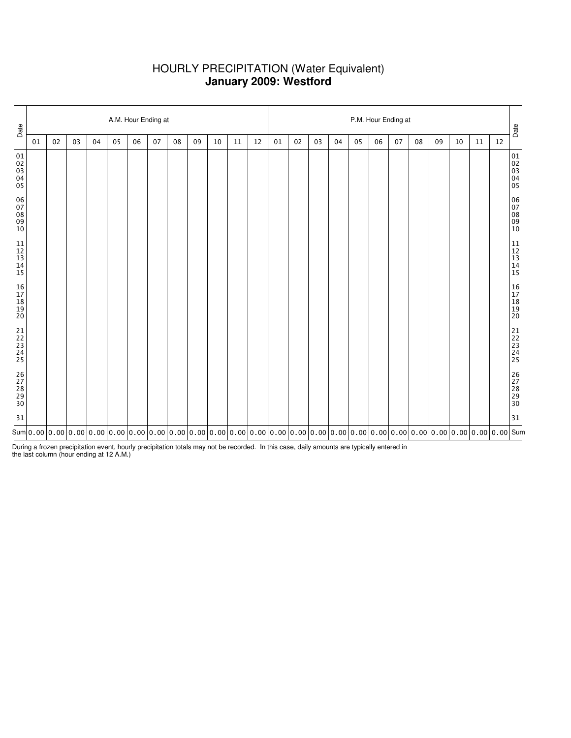# HOURLY PRECIPITATION (Water Equivalent) **January 2009: Westford**

| Date                                                      |    | A.M. Hour Ending at |    |    |    |    |    |                                                                                                                                                                                                                                                                                                |    |    |    |    |        |    | P.M. Hour Ending at |    |    |    |    |    |    |    |    |    |                                                           |  |  |
|-----------------------------------------------------------|----|---------------------|----|----|----|----|----|------------------------------------------------------------------------------------------------------------------------------------------------------------------------------------------------------------------------------------------------------------------------------------------------|----|----|----|----|--------|----|---------------------|----|----|----|----|----|----|----|----|----|-----------------------------------------------------------|--|--|
|                                                           | 01 | 02                  | 03 | 04 | 05 | 06 | 07 | 08                                                                                                                                                                                                                                                                                             | 09 | 10 | 11 | 12 | $01\,$ | 02 | 03                  | 04 | 05 | 06 | 07 | 08 | 09 | 10 | 11 | 12 | Date                                                      |  |  |
| 01<br>02<br>03<br>04<br>05                                |    |                     |    |    |    |    |    |                                                                                                                                                                                                                                                                                                |    |    |    |    |        |    |                     |    |    |    |    |    |    |    |    |    | 01<br>02<br>03<br>04<br>04<br>05                          |  |  |
| $\begin{array}{c} 06 \\ 07 \end{array}$<br>$0809$<br>$10$ |    |                     |    |    |    |    |    |                                                                                                                                                                                                                                                                                                |    |    |    |    |        |    |                     |    |    |    |    |    |    |    |    |    | 06<br>07<br>08<br>09<br>09<br>10                          |  |  |
| $\begin{array}{c} 11 \\ 12 \\ 13 \\ 14 \end{array}$<br>15 |    |                     |    |    |    |    |    |                                                                                                                                                                                                                                                                                                |    |    |    |    |        |    |                     |    |    |    |    |    |    |    |    |    | $\begin{array}{c} 11 \\ 12 \\ 13 \\ 14 \\ 15 \end{array}$ |  |  |
| 16<br>17<br>18<br>19<br>19<br>20                          |    |                     |    |    |    |    |    |                                                                                                                                                                                                                                                                                                |    |    |    |    |        |    |                     |    |    |    |    |    |    |    |    |    | 16<br>17<br>18<br>19<br>19<br>20                          |  |  |
| $21$<br>$22$<br>$23$<br>$24$<br>25                        |    |                     |    |    |    |    |    |                                                                                                                                                                                                                                                                                                |    |    |    |    |        |    |                     |    |    |    |    |    |    |    |    |    | 21<br>22<br>23<br>24<br>25                                |  |  |
| 26<br>27<br>28<br>29<br>29<br>30                          |    |                     |    |    |    |    |    |                                                                                                                                                                                                                                                                                                |    |    |    |    |        |    |                     |    |    |    |    |    |    |    |    |    | 26<br>27<br>28<br>29<br>29<br>30                          |  |  |
| 31                                                        |    |                     |    |    |    |    |    |                                                                                                                                                                                                                                                                                                |    |    |    |    |        |    |                     |    |    |    |    |    |    |    |    |    | 31                                                        |  |  |
|                                                           |    |                     |    |    |    |    |    | Sum $ $ 0.00 $ $ 0.00 $ $ 0.00 $ $ 0.00 $ $ 0.00 $ $ 0.00 $ $ 0.00 $ $ 0.00 $ $ 0.00 $ $ 0.00 $ $ 0.00 $ $ 0.00 $ $ 0.00 $ $ 0.00 $ $ 0.00 $ $ 0.00 $ $ 0.00 $ $ 0.00 $ $ 0.00 $ $ 0.00 $ $ 0.00 $ $ 0.00 $ $ 0.00 $ $ 0.00 $ $ 0.00 $ $ 0.00 $ $ 0.00 $ $ 0.00 $ $ 0.00 $ $ 0.00 $ $ 0.00 $ $ |    |    |    |    |        |    |                     |    |    |    |    |    |    |    |    |    |                                                           |  |  |

During a frozen precipitation event, hourly precipitation totals may not be recorded. In this case, daily amounts are typically entered in the last column (hour ending at 12 A.M.)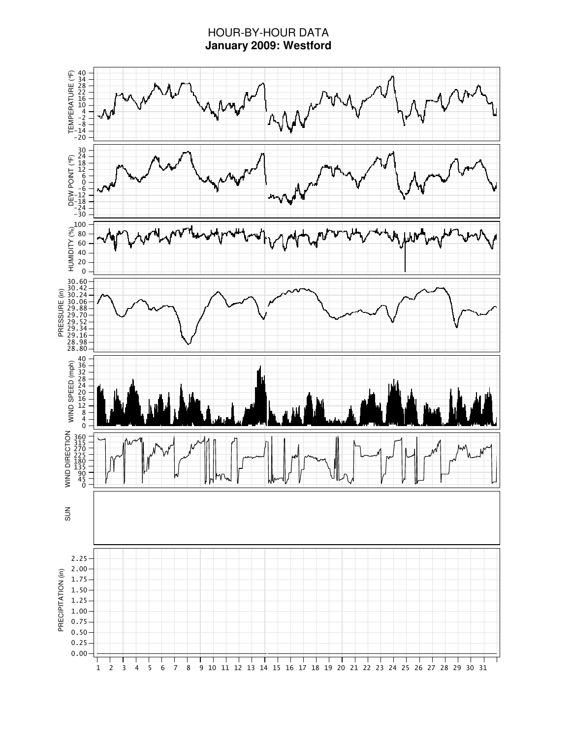# HOUR-BY-HOUR DATA **January 2009: Westford**